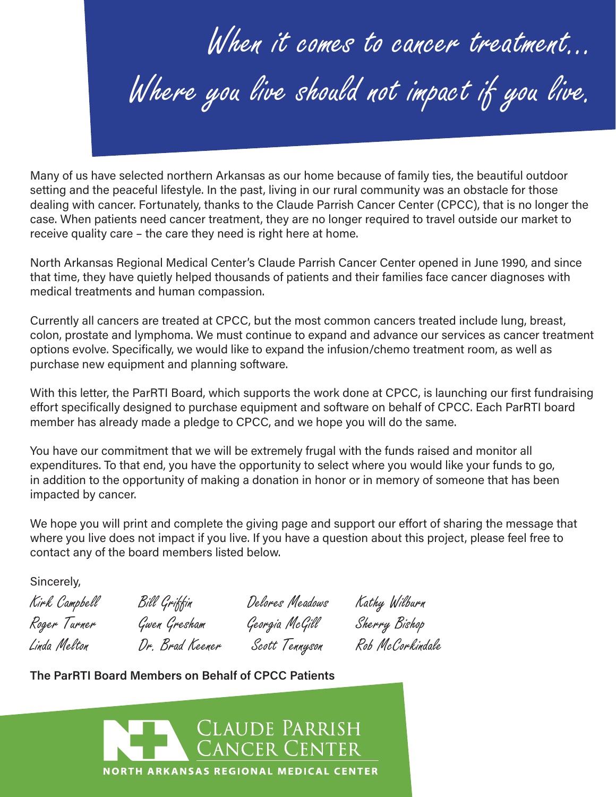When it comes to cancer treatment… Where you live should not impact if you live.

Many of us have selected northern Arkansas as our home because of family ties, the beautiful outdoor setting and the peaceful lifestyle. In the past, living in our rural community was an obstacle for those dealing with cancer. Fortunately, thanks to the Claude Parrish Cancer Center (CPCC), that is no longer the case. When patients need cancer treatment, they are no longer required to travel outside our market to receive quality care – the care they need is right here at home.

North Arkansas Regional Medical Center's Claude Parrish Cancer Center opened in June 1990, and since that time, they have quietly helped thousands of patients and their families face cancer diagnoses with medical treatments and human compassion.

Currently all cancers are treated at CPCC, but the most common cancers treated include lung, breast, colon, prostate and lymphoma. We must continue to expand and advance our services as cancer treatment options evolve. Specifically, we would like to expand the infusion/chemo treatment room, as well as purchase new equipment and planning software.

With this letter, the ParRTI Board, which supports the work done at CPCC, is launching our first fundraising effort specifically designed to purchase equipment and software on behalf of CPCC. Each ParRTI board member has already made a pledge to CPCC, and we hope you will do the same.

You have our commitment that we will be extremely frugal with the funds raised and monitor all expenditures. To that end, you have the opportunity to select where you would like your funds to go, in addition to the opportunity of making a donation in honor or in memory of someone that has been impacted by cancer.

We hope you will print and complete the giving page and support our effort of sharing the message that where you live does not impact if you live. If you have a question about this project, please feel free to contact any of the board members listed below.

Sincerely,

| Kirk Campbell | Bill Griffin    | Delores Meadows | Kathy Wilburn    |
|---------------|-----------------|-----------------|------------------|
| Roger Turner  | Gwen Gresham    | Georgia McGill  | Sherry Bishop    |
| Linda Melton  | Dr. Brad Keener | Scott Tennyson  | Rob McCorkindale |

**The ParRTI Board Members on Behalf of CPCC Patients**